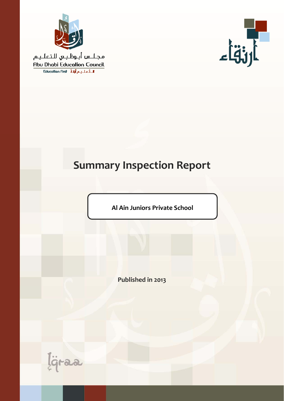

مجلس أبوظبي للتعليم Abu Dhabi Education Council Education First Ligit Lei



# **Summary Inspection Report**

**Al Ain Juniors Private School**

**Published in 2013**

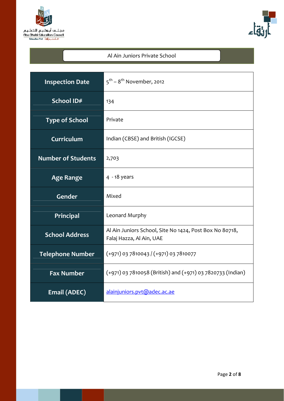



#### Al Ain Juniors Private School

| <b>Inspection Date</b>    | $5^{\text{th}}$ – $8^{\text{th}}$ November, 2012                                    |  |  |
|---------------------------|-------------------------------------------------------------------------------------|--|--|
| School ID#                | 134                                                                                 |  |  |
| <b>Type of School</b>     | Private                                                                             |  |  |
| Curriculum                | Indian (CBSE) and British (IGCSE)                                                   |  |  |
| <b>Number of Students</b> | 2,703                                                                               |  |  |
| <b>Age Range</b>          | $4 - 18$ years                                                                      |  |  |
| <b>Gender</b>             | Mixed                                                                               |  |  |
| Principal                 | Leonard Murphy                                                                      |  |  |
| <b>School Address</b>     | Al Ain Juniors School, Site No 1424, Post Box No 80718,<br>Falaj Hazza, Al Ain, UAE |  |  |
| <b>Telephone Number</b>   | $(+971)$ 03 7810043 / (+971) 03 7810077                                             |  |  |
| <b>Fax Number</b>         | (+971) 03 7810058 (British) and (+971) 03 7820733 (Indian)                          |  |  |
| Email (ADEC)              | alainjuniors.pvt@adec.ac.ae                                                         |  |  |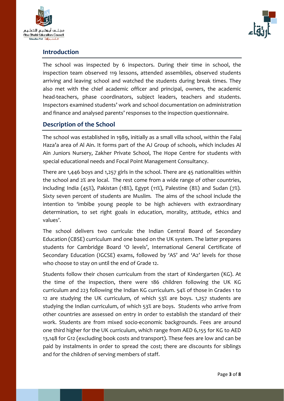



### **Introduction**

The school was inspected by 6 inspectors. During their time in school, the inspection team observed 119 lessons, attended assemblies, observed students arriving and leaving school and watched the students during break times. They also met with the chief academic officer and principal, owners, the academic head-teachers, phase coordinators, subiect leaders, teachers and students. Inspectors examined students' work and school documentation on administration and finance and analysed parents' responses to the inspection questionnaire.

## **Description of the School**

The school was established in 1989, initially as a small villa school, within the Falaj Haza'a area of Al Ain. It forms part of the AJ Group of schools, which includes Al Ain Juniors Nursery, Zakher Private School, The Hope Centre for students with special educational needs and Focal Point Management Consultancy.

There are 1,446 boys and 1,257 girls in the school. There are 45 nationalities within the school and 2% are local. The rest come from a wide range of other countries, including India (45%), Pakistan (18%), Egypt (11%), Palestine (8%) and Sudan (7%)*.*  Sixty seven percent of students are Muslim. The aims of the school include the intention to 'imbibe young people to be high achievers with extraordinary determination, to set right goals in education, morality, attitude, ethics and values'.

The school delivers two curricula: the Indian Central Board of Secondary Education (CBSE) curriculum and one based on the UK system. The latter prepares students for Cambridge Board 'O levels', International General Certificate of Secondary Education (IGCSE) exams, followed by 'AS' and 'A2' levels for those who choose to stay on until the end of Grade 12.

Students follow their chosen curriculum from the start of Kindergarten (KG). At the time of the inspection, there were 186 children following the UK KG curriculum and 223 following the Indian KG curriculum. 54% of those in Grades 1 to 12 are studying the UK curriculum, of which 53% are boys. 1,257 students are studying the Indian curriculum, of which 53% are boys. Students who arrive from other countries are assessed on entry in order to establish the standard of their work. Students are from mixed socio‐economic backgrounds. Fees are around one third higher for the UK curriculum, which range from AED 6,155 for KG to AED 13,148 for G12 (excluding book costs and transport). These fees are low and can be paid by instalments in order to spread the cost; there are discounts for siblings and for the children of serving members of staff.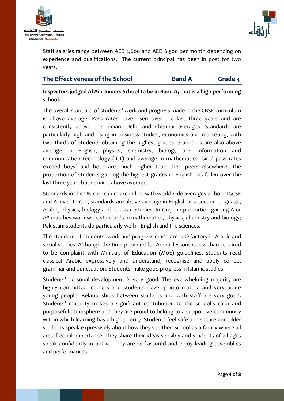



Staff salaries range between AED 2,600 and AED 6,500 per month depending on experience and qualifications. The current principal has been in post for two years.

| The Effectiveness of the School | <b>Band A</b> | Grade 3 |
|---------------------------------|---------------|---------|
|---------------------------------|---------------|---------|

**Inspectors judged Al Ain Juniors School to be in Band A; that is a high performing school.** 

The overall standard of students' work and progress made in the CBSE curriculum is above average. Pass rates have risen over the last three years and are consistently above the Indian, Delhi and Chennai averages. Standards are particularly high and rising in business studies, economics and marketing, with two thirds of students obtaining the highest grades. Standards are also above average in English, physics, chemistry, biology and information and communication technology (ICT) and average in mathematics. Girls' pass rates exceed boys' and both are much higher than their peers elsewhere. The proportion of students gaining the highest grades in English has fallen over the last three years but remains above average.

Standards in the UK curriculum are in line with worldwide averages at both IGCSE and A level. In G10, standards are above average in English as a second language, Arabic, physics, biology and Pakistan Studies. In G12, the proportion gaining A or A\* matches worldwide standards in mathematics, physics, chemistry and biology; Pakistani students do particularly well in English and the sciences.

The standard of students' work and progress made are satisfactory in Arabic and social studies. Although the time provided for Arabic lessons is less than required to be complaint with Ministry of Education (MoE) guidelines, students read classical Arabic expressively and understand, recognise and apply correct grammar and punctuation. Students make good progress in Islamic studies.

Students' personal development is very good. The overwhelming majority are highly committed learners and students develop into mature and very polite young people. Relationships between students and with staff are very good. Students' maturity makes a significant contribution to the school's calm and purposeful atmosphere and they are proud to belong to a supportive community within which learning has a high priority. Students feel safe and secure and older students speak expressively about how they see their school as a family where all are of equal importance. They share their ideas sensibly and students of all ages speak confidently in public. They are self-assured and enjoy leading assemblies and performances.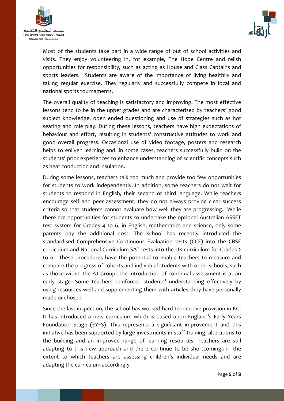



Most of the students take part in a wide range of out of school activities and visits. They enjoy volunteering in, for example, The Hope Centre and relish opportunities for responsibility, such as acting as House and Class Captains and sports leaders. Students are aware of the importance of living healthily and taking regular exercise. They regularly and successfully compete in local and national sports tournaments.

The overall quality of teaching is satisfactory and improving. The most effective lessons tend to be in the upper grades and are characterised by teachers' good subject knowledge, open ended questioning and use of strategies such as hot seating and role play. During these lessons, teachers have high expectations of behaviour and effort, resulting in students' constructive attitudes to work and good overall progress. Occasional use of video footage, posters and research helps to enliven learning and, in some cases, teachers successfully build on the students' prior experiences to enhance understanding of scientific concepts such as heat conduction and insulation.

During some lessons, teachers talk too much and provide too few opportunities for students to work independently. In addition, some teachers do not wait for students to respond in English, their second or third language. While teachers encourage self and peer assessment, they do not always provide clear success criteria so that students cannot evaluate how well they are progressing. While there are opportunities for students to undertake the optional Australian ASSET test system for Grades 4 to 6, in English, mathematics and science, only some parents pay the additional cost. The school has recently introduced the standardised Comprehensive Continuous Evaluation tests (CCE) into the CBSE curriculum and National Curriculum SAT tests into the UK curriculum for Grades 2 to 6. These procedures have the potential to enable teachers to measure and compare the progress of cohorts and individual students with other schools, such as those within the AJ Group. The introduction of continual assessment is at an early stage. Some teachers reinforced students' understanding effectively by using resources well and supplementing them with articles they have personally made or chosen.

Since the last inspection, the school has worked hard to improve provision in KG. It has introduced a new curriculum which is based upon England's Early Years Foundation Stage (EYFS). This represents a significant improvement and this initiative has been supported by large investments in staff training, alterations to the building and an improved range of learning resources. Teachers are still adapting to this new approach and there continue to be shortcomings in the extent to which teachers are assessing children's individual needs and are adapting the curriculum accordingly.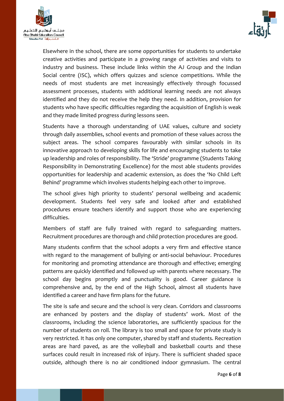



Elsewhere in the school, there are some opportunities for students to undertake creative activities and participate in a growing range of activities and visits to industry and business. These include links within the AJ Group and the Indian Social centre (ISC), which offers quizzes and science competitions. While the needs of most students are met increasingly effectively through focussed assessment processes, students with additional learning needs are not always identified and they do not receive the help they need. In addition, provision for students who have specific difficulties regarding the acquisition of English is weak and they made limited progress during lessons seen.

Students have a thorough understanding of UAE values, culture and society through daily assemblies, school events and promotion of these values across the subject areas. The school compares favourably with similar schools in its innovative approach to developing skills for life and encouraging students to take up leadership and roles of responsibility. The 'Stride' programme (Students Taking Responsibility in Demonstrating Excellence) for the most able students provides opportunities for leadership and academic extension, as does the 'No Child Left Behind' programme which involves students helping each other to improve.

The school gives high priority to students' personal wellbeing and academic development. Students feel very safe and looked after and established procedures ensure teachers identify and support those who are experiencing difficulties.

Members of staff are fully trained with regard to safeguarding matters. Recruitment procedures are thorough and child protection procedures are good.

Many students confirm that the school adopts a very firm and effective stance with regard to the management of bullying or anti-social behaviour. Procedures for monitoring and promoting attendance are thorough and effective; emerging patterns are quickly identified and followed up with parents where necessary. The school day begins promptly and punctuality is good. Career guidance is comprehensive and, by the end of the High School, almost all students have identified a career and have firm plans for the future.

The site is safe and secure and the school is very clean. Corridors and classrooms are enhanced by posters and the display of students' work. Most of the classrooms, including the science laboratories, are sufficiently spacious for the number of students on roll. The library is too small and space for private study is very restricted. It has only one computer, shared by staff and students. Recreation areas are hard paved, as are the volleyball and basketball courts and these surfaces could result in increased risk of injury. There is sufficient shaded space outside, although there is no air conditioned indoor gymnasium. The central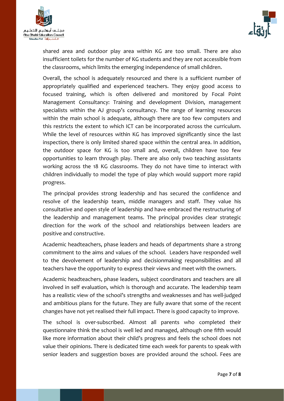



shared area and outdoor play area within KG are too small. There are also insufficient toilets for the number of KG students and they are not accessible from the classrooms, which limits the emerging independence of small children.

Overall, the school is adequately resourced and there is a sufficient number of appropriately qualified and experienced teachers. They enjoy good access to focused training, which is often delivered and monitored by Focal Point Management Consultancy: Training and development Division, management specialists within the AJ group's consultancy. The range of learning resources within the main school is adequate, although there are too few computers and this restricts the extent to which ICT can be incorporated across the curriculum. While the level of resources within KG has improved significantly since the last inspection, there is only limited shared space within the central area. In addition, the outdoor space for KG is too small and, overall, children have too few opportunities to learn through play. There are also only two teaching assistants working across the 18 KG classrooms. They do not have time to interact with children individually to model the type of play which would support more rapid progress.

The principal provides strong leadership and has secured the confidence and resolve of the leadership team, middle managers and staff. They value his consultative and open style of leadership and have embraced the restructuring of the leadership and management teams. The principal provides clear strategic direction for the work of the school and relationships between leaders are positive and constructive.

Academic headteachers, phase leaders and heads of departments share a strong commitment to the aims and values of the school. Leaders have responded well to the devolvement of leadership and decisionmaking responsibilities and all teachers have the opportunity to express their views and meet with the owners.

Academic headteachers, phase leaders, subject coordinators and teachers are all involved in self evaluation, which is thorough and accurate. The leadership team has a realistic view of the school's strengths and weaknesses and has well-judged and ambitious plans for the future. They are fully aware that some of the recent changes have not yet realised their full impact. There is good capacity to improve.

The school is over-subscribed. Almost all parents who completed their questionnaire think the school is well led and managed, although one fifth would like more information about their child's progress and feels the school does not value their opinions. There is dedicated time each week for parents to speak with senior leaders and suggestion boxes are provided around the school. Fees are